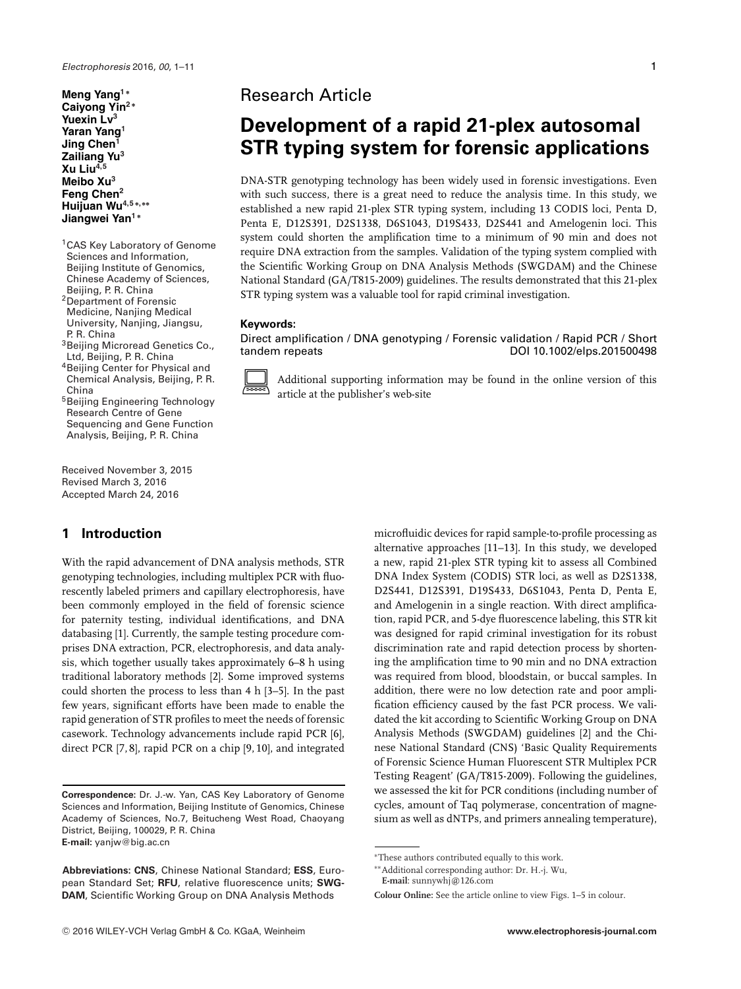**Meng Yang<sup>1</sup> <sup>∗</sup> Caiyong Yin<sup>2</sup> <sup>∗</sup> Yuexin Lv<sup>3</sup> Yaran Yang<sup>1</sup> Jing Chen<sup>1</sup> Zailiang Yu3 Xu Liu4,5 Meibo Xu3 Feng Chen2 Huijuan Wu4,5 <sup>∗</sup>,∗∗ Jiangwei Yan<sup>1</sup> <sup>∗</sup>**

<sup>1</sup> CAS Key Laboratory of Genome Sciences and Information, Beijing Institute of Genomics, Chinese Academy of Sciences, Beijing, P. R. China

2Department of Forensic Medicine, Nanjing Medical University, Nanjing, Jiangsu, P. R. China

3Beijing Microread Genetics Co., Ltd, Beijing, P. R. China

4Beijing Center for Physical and Chemical Analysis, Beijing, P. R. China

5Beijing Engineering Technology Research Centre of Gene Sequencing and Gene Function Analysis, Beijing, P. R. China

Received November 3, 2015 Revised March 3, 2016 Accepted March 24, 2016

# **1 Introduction**

With the rapid advancement of DNA analysis methods, STR genotyping technologies, including multiplex PCR with fluorescently labeled primers and capillary electrophoresis, have been commonly employed in the field of forensic science for paternity testing, individual identifications, and DNA databasing [1]. Currently, the sample testing procedure comprises DNA extraction, PCR, electrophoresis, and data analysis, which together usually takes approximately 6–8 h using traditional laboratory methods [2]. Some improved systems could shorten the process to less than 4 h [3–5]. In the past few years, significant efforts have been made to enable the rapid generation of STR profiles to meet the needs of forensic casework. Technology advancements include rapid PCR [6], direct PCR [7, 8], rapid PCR on a chip [9, 10], and integrated

**Correspondence:** Dr. J.-w. Yan, CAS Key Laboratory of Genome Sciences and Information, Beijing Institute of Genomics, Chinese Academy of Sciences, No.7, Beitucheng West Road, Chaoyang District, Beijing, 100029, P. R. China **E-mail:** yanjw@big.ac.cn

**Abbreviations: CNS**, Chinese National Standard; **ESS**, European Standard Set; **RFU**, relative fluorescence units; **SWG-DAM**, Scientific Working Group on DNA Analysis Methods

# Research Article

# **Development of a rapid 21-plex autosomal STR typing system for forensic applications**

DNA-STR genotyping technology has been widely used in forensic investigations. Even with such success, there is a great need to reduce the analysis time. In this study, we established a new rapid 21-plex STR typing system, including 13 CODIS loci, Penta D, Penta E, D12S391, D2S1338, D6S1043, D19S433, D2S441 and Amelogenin loci. This system could shorten the amplification time to a minimum of 90 min and does not require DNA extraction from the samples. Validation of the typing system complied with the Scientific Working Group on DNA Analysis Methods (SWGDAM) and the Chinese National Standard (GA/T815-2009) guidelines. The results demonstrated that this 21-plex STR typing system was a valuable tool for rapid criminal investigation.

### **Keywords:**

Direct amplification / DNA genotyping / Forensic validation / Rapid PCR / Short tandem repeats DOI 10.1002/elps.201500498



Additional supporting information may be found in the online version of this article at the publisher's web-site

> microfluidic devices for rapid sample-to-profile processing as alternative approaches [11–13]. In this study, we developed a new, rapid 21-plex STR typing kit to assess all Combined DNA Index System (CODIS) STR loci, as well as D2S1338, D2S441, D12S391, D19S433, D6S1043, Penta D, Penta E, and Amelogenin in a single reaction. With direct amplification, rapid PCR, and 5-dye fluorescence labeling, this STR kit was designed for rapid criminal investigation for its robust discrimination rate and rapid detection process by shortening the amplification time to 90 min and no DNA extraction was required from blood, bloodstain, or buccal samples. In addition, there were no low detection rate and poor amplification efficiency caused by the fast PCR process. We validated the kit according to Scientific Working Group on DNA Analysis Methods (SWGDAM) guidelines [2] and the Chinese National Standard (CNS) 'Basic Quality Requirements of Forensic Science Human Fluorescent STR Multiplex PCR Testing Reagent' (GA/T815-2009). Following the guidelines, we assessed the kit for PCR conditions (including number of cycles, amount of Taq polymerase, concentration of magnesium as well as dNTPs, and primers annealing temperature),

**E-mail**: sunnywhj@126.com

<sup>∗</sup>These authors contributed equally to this work.

<sup>∗∗</sup>Additional corresponding author: Dr. H.-j. Wu,

**Colour Online:** See the article online to view Figs. 1–5 in colour.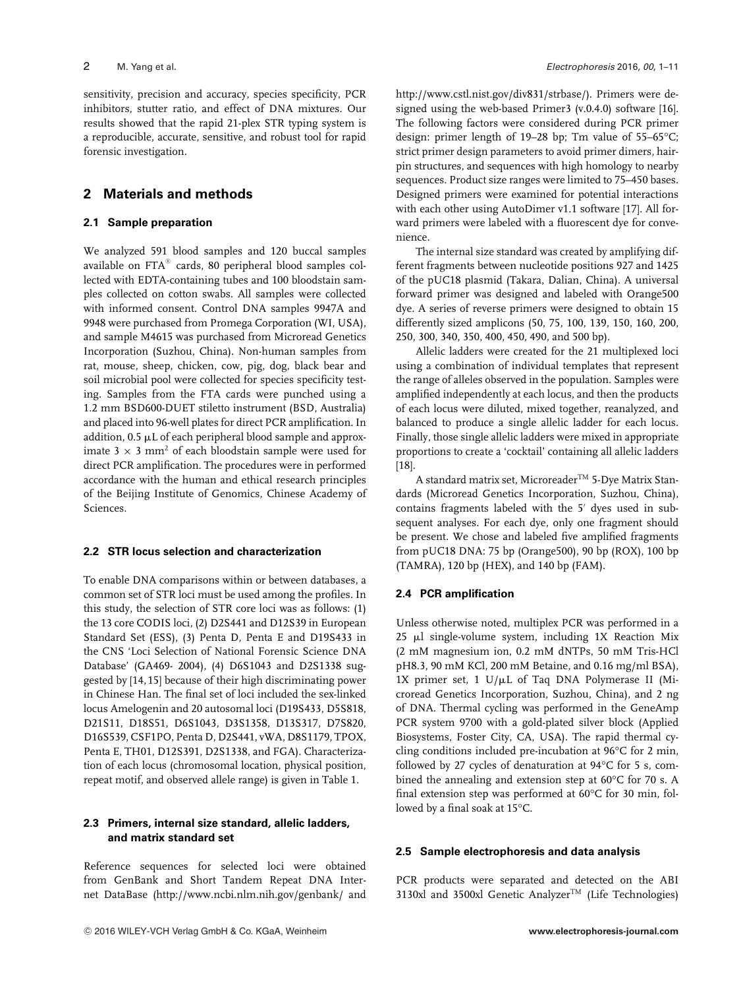sensitivity, precision and accuracy, species specificity, PCR inhibitors, stutter ratio, and effect of DNA mixtures. Our results showed that the rapid 21-plex STR typing system is a reproducible, accurate, sensitive, and robust tool for rapid forensic investigation.

# **2 Materials and methods**

#### **2.1 Sample preparation**

We analyzed 591 blood samples and 120 buccal samples available on  $\text{FTA}^{\circledast}$  cards, 80 peripheral blood samples collected with EDTA-containing tubes and 100 bloodstain samples collected on cotton swabs. All samples were collected with informed consent. Control DNA samples 9947A and 9948 were purchased from Promega Corporation (WI, USA), and sample M4615 was purchased from Microread Genetics Incorporation (Suzhou, China). Non-human samples from rat, mouse, sheep, chicken, cow, pig, dog, black bear and soil microbial pool were collected for species specificity testing. Samples from the FTA cards were punched using a 1.2 mm BSD600-DUET stiletto instrument (BSD, Australia) and placed into 96-well plates for direct PCR amplification. In addition,  $0.5 \mu L$  of each peripheral blood sample and approximate 3  $\times$  3 mm<sup>2</sup> of each bloodstain sample were used for direct PCR amplification. The procedures were in performed accordance with the human and ethical research principles of the Beijing Institute of Genomics, Chinese Academy of Sciences.

#### **2.2 STR locus selection and characterization**

To enable DNA comparisons within or between databases, a common set of STR loci must be used among the profiles. In this study, the selection of STR core loci was as follows: (1) the 13 core CODIS loci, (2) D2S441 and D12S39 in European Standard Set (ESS), (3) Penta D, Penta E and D19S433 in the CNS 'Loci Selection of National Forensic Science DNA Database' (GA469- 2004), (4) D6S1043 and D2S1338 suggested by [14, 15] because of their high discriminating power in Chinese Han. The final set of loci included the sex-linked locus Amelogenin and 20 autosomal loci (D19S433, D5S818, D21S11, D18S51, D6S1043, D3S1358, D13S317, D7S820, D16S539, CSF1PO, Penta D, D2S441, vWA, D8S1179, TPOX, Penta E, TH01, D12S391, D2S1338, and FGA). Characterization of each locus (chromosomal location, physical position, repeat motif, and observed allele range) is given in Table 1.

#### **2.3 Primers, internal size standard, allelic ladders, and matrix standard set**

Reference sequences for selected loci were obtained from GenBank and Short Tandem Repeat DNA Internet DataBase [\(http://www.ncbi.nlm.nih.gov/genbank/](http://www.ncbi.nlm.nih.gov/genbank/) and [http://www.cstl.nist.gov/div831/strbase/\)](http://www.cstl.nist.gov/div831/strbase/). Primers were designed using the web-based Primer3 (v.0.4.0) software [16]. The following factors were considered during PCR primer design: primer length of 19–28 bp; Tm value of 55–65°C; strict primer design parameters to avoid primer dimers, hairpin structures, and sequences with high homology to nearby sequences. Product size ranges were limited to 75–450 bases. Designed primers were examined for potential interactions with each other using AutoDimer v1.1 software [17]. All forward primers were labeled with a fluorescent dye for convenience.

The internal size standard was created by amplifying different fragments between nucleotide positions 927 and 1425 of the pUC18 plasmid (Takara, Dalian, China). A universal forward primer was designed and labeled with Orange500 dye. A series of reverse primers were designed to obtain 15 differently sized amplicons (50, 75, 100, 139, 150, 160, 200, 250, 300, 340, 350, 400, 450, 490, and 500 bp).

Allelic ladders were created for the 21 multiplexed loci using a combination of individual templates that represent the range of alleles observed in the population. Samples were amplified independently at each locus, and then the products of each locus were diluted, mixed together, reanalyzed, and balanced to produce a single allelic ladder for each locus. Finally, those single allelic ladders were mixed in appropriate proportions to create a 'cocktail' containing all allelic ladders [18].

A standard matrix set, Microreader<sup>TM</sup> 5-Dye Matrix Standards (Microread Genetics Incorporation, Suzhou, China), contains fragments labeled with the 5' dyes used in subsequent analyses. For each dye, only one fragment should be present. We chose and labeled five amplified fragments from pUC18 DNA: 75 bp (Orange500), 90 bp (ROX), 100 bp (TAMRA), 120 bp (HEX), and 140 bp (FAM).

### **2.4 PCR amplification**

Unless otherwise noted, multiplex PCR was performed in a  $25$   $\mu$ l single-volume system, including 1X Reaction Mix (2 mM magnesium ion, 0.2 mM dNTPs, 50 mM Tris-HCl pH8.3, 90 mM KCl, 200 mM Betaine, and 0.16 mg/ml BSA), 1X primer set, 1  $U/\mu L$  of Taq DNA Polymerase II (Microread Genetics Incorporation, Suzhou, China), and 2 ng of DNA. Thermal cycling was performed in the GeneAmp PCR system 9700 with a gold-plated silver block (Applied Biosystems, Foster City, CA, USA). The rapid thermal cycling conditions included pre-incubation at 96°C for 2 min, followed by 27 cycles of denaturation at 94°C for 5 s, combined the annealing and extension step at 60°C for 70 s. A final extension step was performed at 60°C for 30 min, followed by a final soak at 15°C.

### **2.5 Sample electrophoresis and data analysis**

PCR products were separated and detected on the ABI 3130xl and 3500xl Genetic Analyzer<sup>TM</sup> (Life Technologies)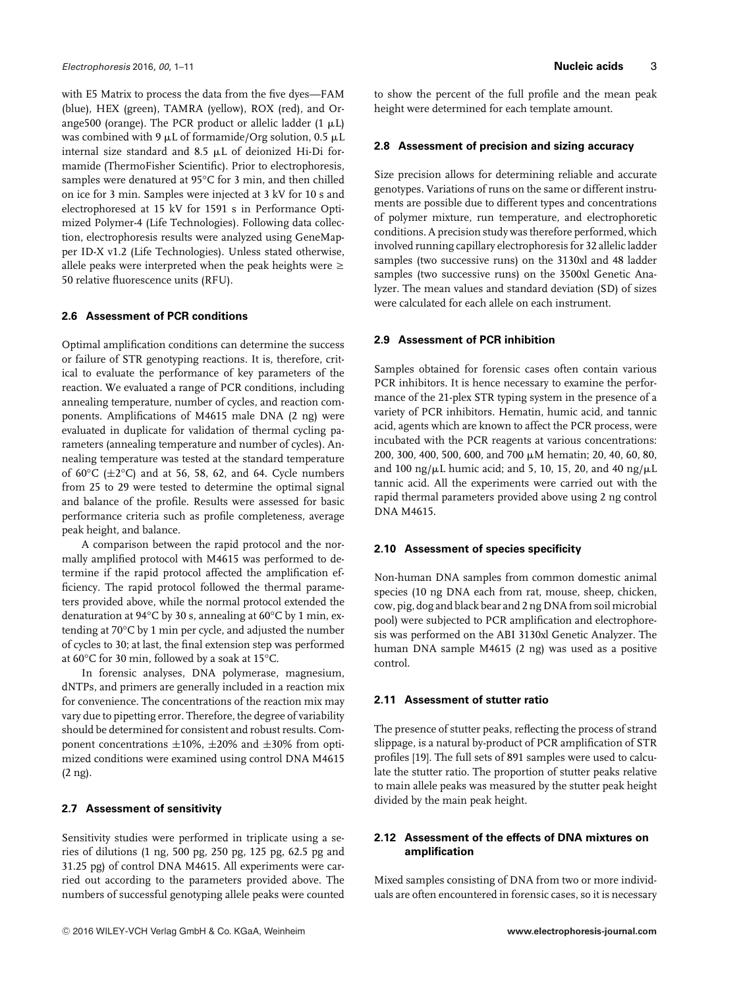with E5 Matrix to process the data from the five dyes—FAM (blue), HEX (green), TAMRA (yellow), ROX (red), and Orange500 (orange). The PCR product or allelic ladder (1  $\mu$ L) was combined with 9  $\mu$ L of formamide/Org solution, 0.5  $\mu$ L internal size standard and 8.5  $\mu$ L of deionized Hi-Di formamide (ThermoFisher Scientific). Prior to electrophoresis, samples were denatured at 95°C for 3 min, and then chilled on ice for 3 min. Samples were injected at 3 kV for 10 s and electrophoresed at 15 kV for 1591 s in Performance Optimized Polymer-4 (Life Technologies). Following data collection, electrophoresis results were analyzed using GeneMapper ID-X v1.2 (Life Technologies). Unless stated otherwise, allele peaks were interpreted when the peak heights were  $\geq$ 50 relative fluorescence units (RFU).

#### **2.6 Assessment of PCR conditions**

Optimal amplification conditions can determine the success or failure of STR genotyping reactions. It is, therefore, critical to evaluate the performance of key parameters of the reaction. We evaluated a range of PCR conditions, including annealing temperature, number of cycles, and reaction components. Amplifications of M4615 male DNA (2 ng) were evaluated in duplicate for validation of thermal cycling parameters (annealing temperature and number of cycles). Annealing temperature was tested at the standard temperature of 60 $\degree$ C ( $\pm$ 2 $\degree$ C) and at 56, 58, 62, and 64. Cycle numbers from 25 to 29 were tested to determine the optimal signal and balance of the profile. Results were assessed for basic performance criteria such as profile completeness, average peak height, and balance.

A comparison between the rapid protocol and the normally amplified protocol with M4615 was performed to determine if the rapid protocol affected the amplification efficiency. The rapid protocol followed the thermal parameters provided above, while the normal protocol extended the denaturation at 94°C by 30 s, annealing at 60°C by 1 min, extending at 70°C by 1 min per cycle, and adjusted the number of cycles to 30; at last, the final extension step was performed at 60°C for 30 min, followed by a soak at 15°C.

In forensic analyses, DNA polymerase, magnesium, dNTPs, and primers are generally included in a reaction mix for convenience. The concentrations of the reaction mix may vary due to pipetting error. Therefore, the degree of variability should be determined for consistent and robust results. Component concentrations  $\pm 10$ %,  $\pm 20$ % and  $\pm 30$ % from optimized conditions were examined using control DNA M4615 (2 ng).

#### **2.7 Assessment of sensitivity**

Sensitivity studies were performed in triplicate using a series of dilutions (1 ng, 500 pg, 250 pg, 125 pg, 62.5 pg and 31.25 pg) of control DNA M4615. All experiments were carried out according to the parameters provided above. The numbers of successful genotyping allele peaks were counted The presence of stutter peaks, reflecting the process of strand slippage, is a natural by-product of PCR amplification of STR profiles [19]. The full sets of 891 samples were used to calculate the stutter ratio. The proportion of stutter peaks relative to main allele peaks was measured by the stutter peak height divided by the main peak height.

#### **2.12 Assessment of the effects of DNA mixtures on amplification**

Mixed samples consisting of DNA from two or more individuals are often encountered in forensic cases, so it is necessary

to show the percent of the full profile and the mean peak height were determined for each template amount.

#### **2.8 Assessment of precision and sizing accuracy**

Size precision allows for determining reliable and accurate genotypes. Variations of runs on the same or different instruments are possible due to different types and concentrations of polymer mixture, run temperature, and electrophoretic conditions. A precision study was therefore performed, which involved running capillary electrophoresis for 32 allelic ladder samples (two successive runs) on the 3130xl and 48 ladder samples (two successive runs) on the 3500xl Genetic Analyzer. The mean values and standard deviation (SD) of sizes were calculated for each allele on each instrument.

#### **2.9 Assessment of PCR inhibition**

Samples obtained for forensic cases often contain various PCR inhibitors. It is hence necessary to examine the performance of the 21-plex STR typing system in the presence of a variety of PCR inhibitors. Hematin, humic acid, and tannic acid, agents which are known to affect the PCR process, were incubated with the PCR reagents at various concentrations: 200, 300, 400, 500, 600, and 700  $\mu$ M hematin; 20, 40, 60, 80, and 100 ng/ $\mu$ L humic acid; and 5, 10, 15, 20, and 40 ng/ $\mu$ L tannic acid. All the experiments were carried out with the rapid thermal parameters provided above using 2 ng control DNA M4615.

#### **2.10 Assessment of species specificity**

**2.11 Assessment of stutter ratio**

Non-human DNA samples from common domestic animal species (10 ng DNA each from rat, mouse, sheep, chicken, cow, pig, dog and black bear and 2 ng DNA from soil microbial pool) were subjected to PCR amplification and electrophoresis was performed on the ABI 3130xl Genetic Analyzer. The human DNA sample M4615 (2 ng) was used as a positive control.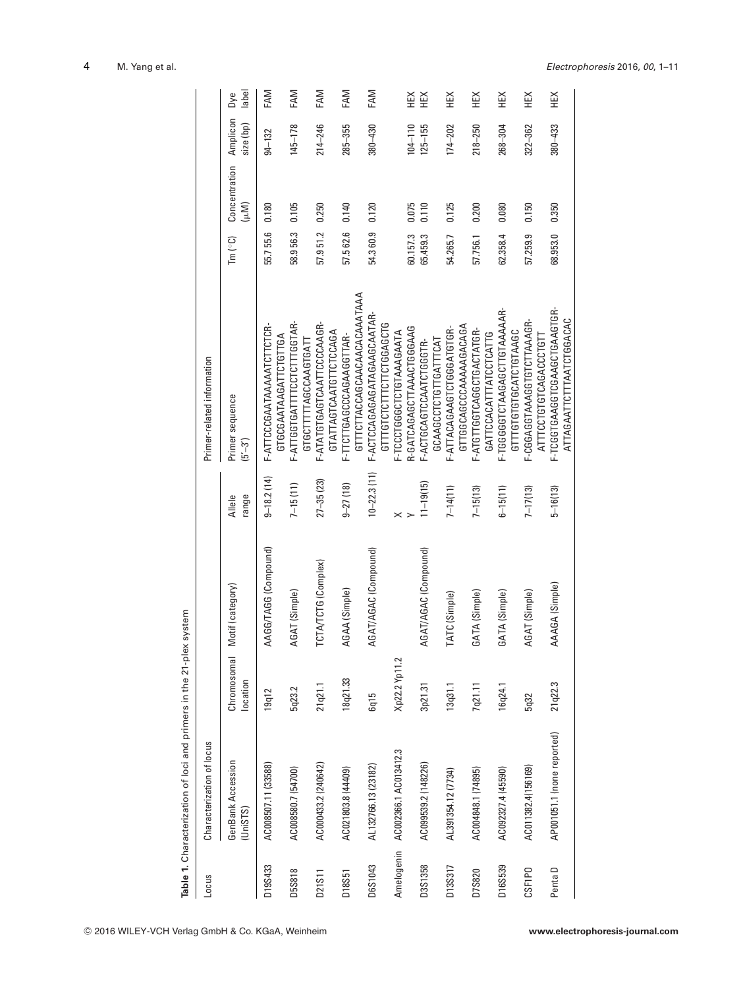|         | Table 1. Characterization of loci and primers in the 21-plex system |                         |                      |                 |                                                          |                                                |                       |                       |              |
|---------|---------------------------------------------------------------------|-------------------------|----------------------|-----------------|----------------------------------------------------------|------------------------------------------------|-----------------------|-----------------------|--------------|
| Locus   | Characterization of locus                                           |                         |                      |                 | Primer-related information                               |                                                |                       |                       |              |
|         | GenBank Accession<br>UnisTS)                                        | Chromosomal<br>location | Motif (category)     | range<br>Allele | Primer sequence<br>$(5 - 3)$                             | $\mathsf{Im}\left( ^{\circ }\mathsf{C}\right)$ | Concentration<br>(wM) | Amplicon<br>size (bp) | label<br>Dye |
| D19S433 | AC008507.11 (33588)                                                 | 19q12                   | AAGG/TAGG (Compound) | $9 - 18.2(14)$  | F-ATTCCCGAATAAAATCTTCTCR-<br>GTGCGAATAAGATTCTGTTGA       | 55.755.6                                       | 0.180                 | $94 - 132$            | FAM          |
| D5S818  | AC008580.7 (54700)                                                  | 5q23.2                  | AGAT (Simple)        | $7 - 15(11)$    | F-ATTGGTGATTTTCCTCTTTGGTAR-<br>GTGCTTTTTAGCCAAGTGATT     | 58.956.3                                       | 0.105                 | $145 - 178$           | FAM          |
| D21S11  | AC000433.2 (240642)                                                 | 21 q21.1                | TCTA/TCTG (Complex)  | $27 - 35(23)$   | F-ATATGTGAGTCAATTCCCCAAGR-<br>GTATTAGTCAATGTTCTCCAGA     | 57.951.2                                       | 0.250                 | $214 - 246$           | FAM          |
| D18S51  | AC021803.8 (44409)                                                  | 18q21.33                | AGAA (Simple)        | $9 - 27(18)$    | GTTTCTTACCAGCAACAACACAATAAA<br>F-TTCTTGAGCCAGAAGGTTAR-   | 57.562.6                                       | 0.140                 | $285 - 355$           | FAM          |
| D6S1043 | AL132766.13 (23182)                                                 | 6q15                    | AGAT/AGAC (Compound) | $10 - 22.3(11)$ | F-ACTCCAGAGAGATAGAAGCAATAR-<br>GTTTGTCTTTCTTCTGGAGCTG    | 54.3 60.9                                      | 0.120                 | $380 - 430$           | FAM          |
|         | Amelogenin AC002366.1 AC013412.3                                    | Xp22.2 Yp11.2           |                      |                 | F-TCCCTGGGCTGTAAAGAATA                                   |                                                |                       |                       |              |
|         |                                                                     |                         |                      |                 | R-GATCAGAGCTTAAACTGGGAAG                                 | 60.157.3                                       | 0.075                 | $104 - 110$           | Ж            |
| D3S1358 | AC099539.2 (148226)                                                 | 3p21.31                 | AGAT/AGAC (Compound) | $11 - 19(15)$   | GCAAGCCTCTGTTGATTTCAT<br>F-ACTGCAGTCCAATCTGGGTR-         | 65.459.3                                       | 0.110                 | $125 - 155$           | ЖHК          |
| D13S317 | AL391354.12 (7734)                                                  | 13q31.1                 | TATC (Simple)        | $7 - 14(11)$    | GTTGGCAGCCCAAAAAGACAGA<br>F-ATTACAGAAGTCTGGGATGTGR-      | 54.265.7                                       | 0.125                 | 174-202               | 当            |
| D7S820  | AC004848.1 (74895)                                                  | 7q21.11                 | GATA (Simple)        | $7 - 15(13)$    | F-ATGTTGGTCAGGCTGACTATGR-<br>GATTCCACATTTATCCTCATTG      | 57.756.1                                       | 0.200                 | $218 - 250$           | НŘ           |
| D16S539 | AC092327.4 (45590)                                                  | 16q24.1                 | GATA (Simple)        | $6 - 15(11)$    | F-TGGGGTCTAAGAGCTTGTAAAAAR-<br>GTTTGTGTGCATCTGTAAGC      | 62.358.4                                       | 0.080                 | 268-304               | ¥            |
| CSF1PO  | AC011382.4(156169)                                                  | 5q32                    | AGAT (Simple)        | $7 - 17(13)$    | F-CGGAGGTAAAGGTCTTAAAGR-<br>ATTTCCTGTGTCAGACCCTGT        | 57.259.9                                       | 0.150                 | 322-362               | НEХ          |
| Penta D | AP001051.1 (none reported)                                          | 21 q22.3                | AAAGA (Simple)       | $5 - 16(13)$    | F-TCGGTGAAGGTCGAAGCTGAAGTGR-<br>ATTAGAATTCTTTAATCTGGACAC | 68.953.0                                       | 0.350                 | $380 - 433$           | НEХ          |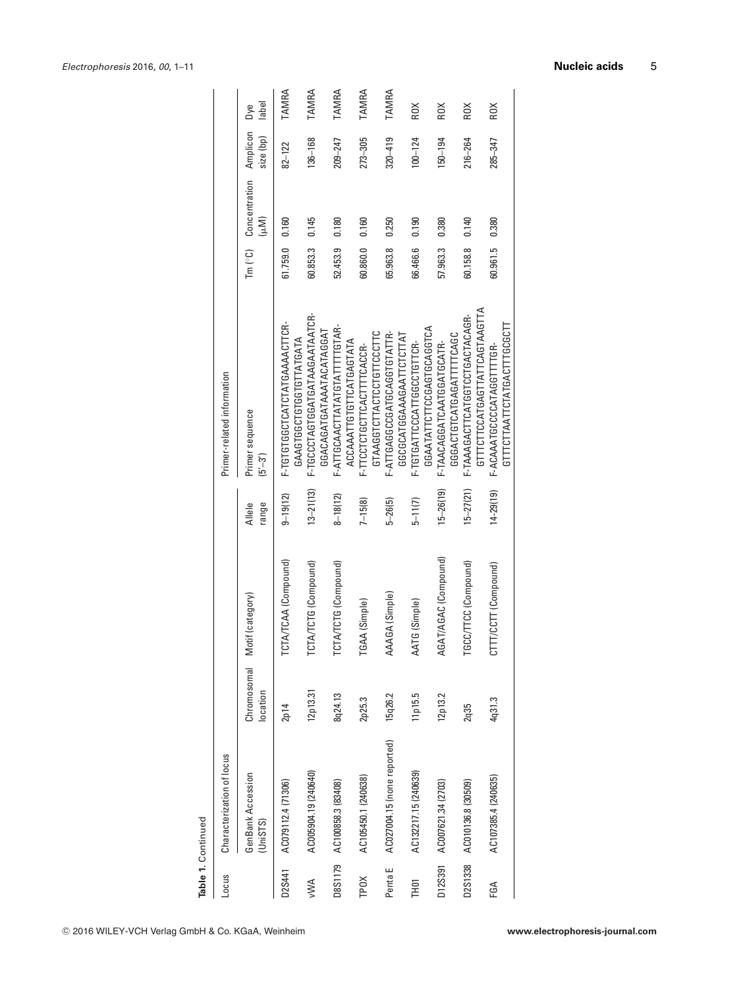| Table 1. Continued |                             |                         |                       |                 |                                                                  |                 |                       |                       |              |
|--------------------|-----------------------------|-------------------------|-----------------------|-----------------|------------------------------------------------------------------|-----------------|-----------------------|-----------------------|--------------|
| <b>Locus</b>       | Characterization of locus   |                         |                       |                 | Primer-related information                                       |                 |                       |                       |              |
|                    | GenBank Accession<br>UnisTS | Chromosomal<br>location | Motif (category)      | range<br>Allele | Primer sequence<br>$(5 - 3)$                                     | Tm $(^\circ$ C) | Concentration<br>(μM) | Amplicon<br>size (bp) | label<br>Dye |
| D2S441             | AC079112.4 (71306)          | 2p14                    | TCTA/TCAA (Compound)  | $9 - 19(12)$    | F-TGTGTGGCTCATCTATGAAAACTTCR-<br>GAAGTGGCTGGTGTTATGATA           | 61.759.0        | 0.160                 | $82 - 122$            | TAMRA        |
| <b>NWV</b>         | AC005904.19 (240640)        | 12p13.31                | TCTA/TCTG (Compound)  | $13 - 21(13)$   | F-TGCCCTAGTGGATGATAAGAATAATCR-<br>GGACAGATGATAAATACATAGGAT       | 60.853.3        | 0.145                 | $136 - 168$           | TAMRA        |
| D8S1179            | AC100858.3 (83408)          | 8q24.13                 | TCTA/TCTG (Compound)  | $8 - 18(12)$    | F-ATTGCAACTTATATGTATTTTGTAR-<br>ACCAAATTGTGTTCATGAGTATA          | 52.453.9        | 0.180                 | 209-247               | TAMRA        |
| TPOX               | AC105450.1 (240638)         | 2p25.3                  | TGAA (Simple)         | $7 - 15(8)$     | GTAAGGTCTTACTGTGTTCCCTTC<br>F-TTCCTCTGCTTCACTTTTCACCR-           | 60.860.0        | 0.160                 | $273 - 305$           | TAMRA        |
| Penta E            | AC027004.15 (none reported) | 15q26.2                 | AAAGA (Simple)        | $5 - 26(5)$     | F-ATTGAGGCCGATGCAGGTGTATTR-<br>GGCGCATGGAAGAATTCTCTTAT           | 65.963.8        | 0.250                 | $320 - 419$           | TAMRA        |
| <b>THDT</b>        | AC132217.15 (240639)        | 11 p15.5                | AATG (Simple)         | $5 - 11(7)$     | GGAATATTCTTCCGAGTGCAGGTCA<br>F-TGTGATTCCCATTGGCCTGTTCR-          | 66.466.6        | 0.190                 | $100 - 124$           | ROX          |
| D12S391            | AC007621.34 (2703)          | 12p13.2                 | AGAT/AGAC (Compound)  | $15 - 26(19)$   | GGGACTGTCATGAGATTTTCAGC<br>F-TAACAGGATCAATGGATGCATR-             | 57.963.3        | 0.380                 | $150 - 194$           | ROX          |
| D2S1338            | AC010136.8 (30509)          | 2q35                    | TGCC/TTCC (Compound)  | $15 - 27(21)$   | GTTTCCTTCCATGAGTTATTCAGTAAGTTA<br>F-TAAAGACTTCATGGTCCTGACTACAGR- | 60.158.8        | 0.140                 | $216 - 264$           | ROX          |
| FGA                | AC107385.4 (240635)         | 4q31.3                  | (CCTT (Compound)<br>5 | $14 - 29(19)$   | GTTTCTTAATTCTATGACTTTGCGCTT<br>F-ACAAATGCCCCATAGGTTTGR-          | 60.961.5        | 0.380                 | 285-347               | ROX          |

Table 1. Continued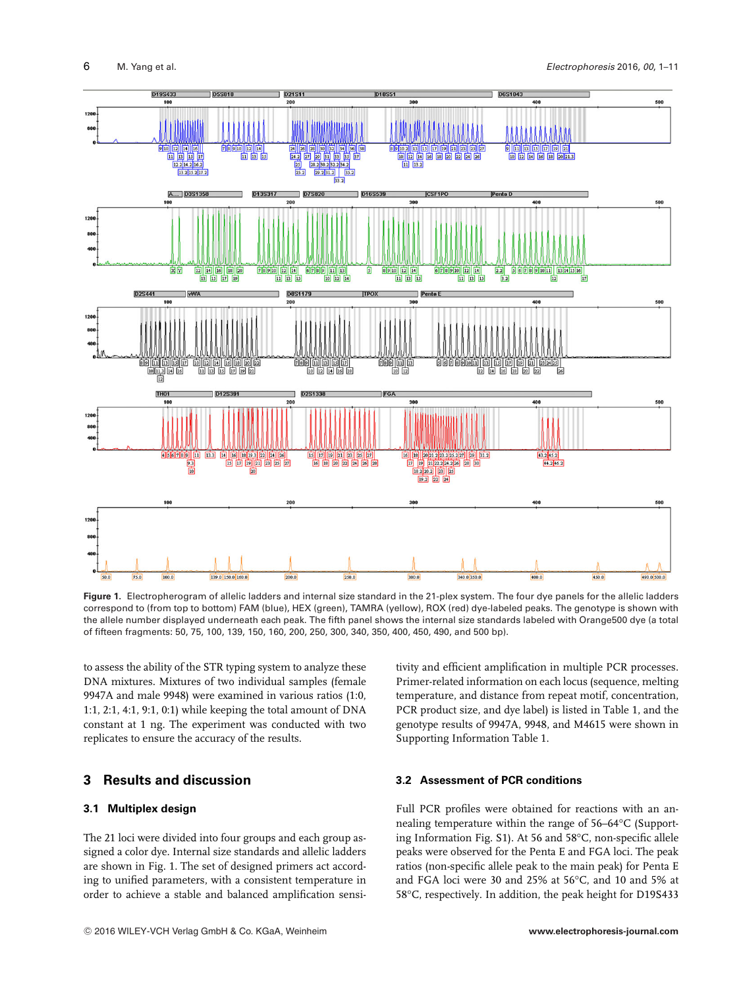

**Figure 1.** Electropherogram of allelic ladders and internal size standard in the 21-plex system. The four dye panels for the allelic ladders correspond to (from top to bottom) FAM (blue), HEX (green), TAMRA (yellow), ROX (red) dye-labeled peaks. The genotype is shown with the allele number displayed underneath each peak. The fifth panel shows the internal size standards labeled with Orange500 dye (a total of fifteen fragments: 50, 75, 100, 139, 150, 160, 200, 250, 300, 340, 350, 400, 450, 490, and 500 bp).

to assess the ability of the STR typing system to analyze these DNA mixtures. Mixtures of two individual samples (female 9947A and male 9948) were examined in various ratios (1:0, 1:1, 2:1, 4:1, 9:1, 0:1) while keeping the total amount of DNA constant at 1 ng. The experiment was conducted with two replicates to ensure the accuracy of the results.

# **3 Results and discussion**

### **3.1 Multiplex design**

The 21 loci were divided into four groups and each group assigned a color dye. Internal size standards and allelic ladders are shown in Fig. 1. The set of designed primers act according to unified parameters, with a consistent temperature in order to achieve a stable and balanced amplification sensi-

<sup>C</sup> 2016 WILEY-VCH Verlag GmbH & Co. KGaA, Weinheim **www.electrophoresis-journal.com**

tivity and efficient amplification in multiple PCR processes. Primer-related information on each locus (sequence, melting temperature, and distance from repeat motif, concentration, PCR product size, and dye label) is listed in Table 1, and the genotype results of 9947A, 9948, and M4615 were shown in Supporting Information Table 1.

### **3.2 Assessment of PCR conditions**

Full PCR profiles were obtained for reactions with an annealing temperature within the range of 56–64°C (Supporting Information Fig. S1). At 56 and 58°C, non-specific allele peaks were observed for the Penta E and FGA loci. The peak ratios (non-specific allele peak to the main peak) for Penta E and FGA loci were 30 and 25% at 56°C, and 10 and 5% at 58°C, respectively. In addition, the peak height for D19S433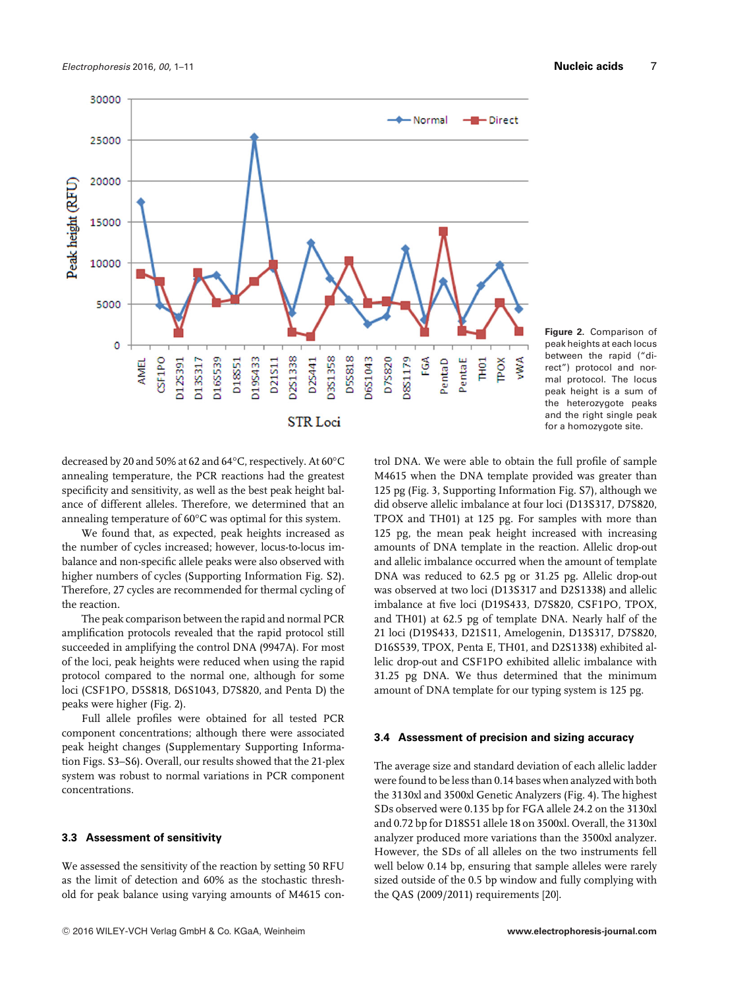

**Figure 2.** Comparison of peak heights at each locus between the rapid ("direct") protocol and normal protocol. The locus peak height is a sum of the heterozygote peaks and the right single peak for a homozygote site.

decreased by 20 and 50% at 62 and 64°C, respectively. At 60°C annealing temperature, the PCR reactions had the greatest specificity and sensitivity, as well as the best peak height balance of different alleles. Therefore, we determined that an annealing temperature of 60°C was optimal for this system.

We found that, as expected, peak heights increased as the number of cycles increased; however, locus-to-locus imbalance and non-specific allele peaks were also observed with higher numbers of cycles (Supporting Information Fig. S2). Therefore, 27 cycles are recommended for thermal cycling of the reaction.

The peak comparison between the rapid and normal PCR amplification protocols revealed that the rapid protocol still succeeded in amplifying the control DNA (9947A). For most of the loci, peak heights were reduced when using the rapid protocol compared to the normal one, although for some loci (CSF1PO, D5S818, D6S1043, D7S820, and Penta D) the peaks were higher (Fig. 2).

Full allele profiles were obtained for all tested PCR component concentrations; although there were associated peak height changes (Supplementary Supporting Information Figs. S3–S6). Overall, our results showed that the 21-plex system was robust to normal variations in PCR component concentrations.

#### **3.3 Assessment of sensitivity**

We assessed the sensitivity of the reaction by setting 50 RFU as the limit of detection and 60% as the stochastic threshold for peak balance using varying amounts of M4615 con-

trol DNA. We were able to obtain the full profile of sample M4615 when the DNA template provided was greater than 125 pg (Fig. 3, Supporting Information Fig. S7), although we did observe allelic imbalance at four loci (D13S317, D7S820, TPOX and TH01) at 125 pg. For samples with more than 125 pg, the mean peak height increased with increasing amounts of DNA template in the reaction. Allelic drop-out and allelic imbalance occurred when the amount of template DNA was reduced to 62.5 pg or 31.25 pg. Allelic drop-out was observed at two loci (D13S317 and D2S1338) and allelic imbalance at five loci (D19S433, D7S820, CSF1PO, TPOX, and TH01) at 62.5 pg of template DNA. Nearly half of the 21 loci (D19S433, D21S11, Amelogenin, D13S317, D7S820, D16S539, TPOX, Penta E, TH01, and D2S1338) exhibited allelic drop-out and CSF1PO exhibited allelic imbalance with 31.25 pg DNA. We thus determined that the minimum amount of DNA template for our typing system is 125 pg.

#### **3.4 Assessment of precision and sizing accuracy**

The average size and standard deviation of each allelic ladder were found to be less than 0.14 bases when analyzed with both the 3130xl and 3500xl Genetic Analyzers (Fig. 4). The highest SDs observed were 0.135 bp for FGA allele 24.2 on the 3130xl and 0.72 bp for D18S51 allele 18 on 3500xl. Overall, the 3130xl analyzer produced more variations than the 3500xl analyzer. However, the SDs of all alleles on the two instruments fell well below 0.14 bp, ensuring that sample alleles were rarely sized outside of the 0.5 bp window and fully complying with the QAS (2009/2011) requirements [20].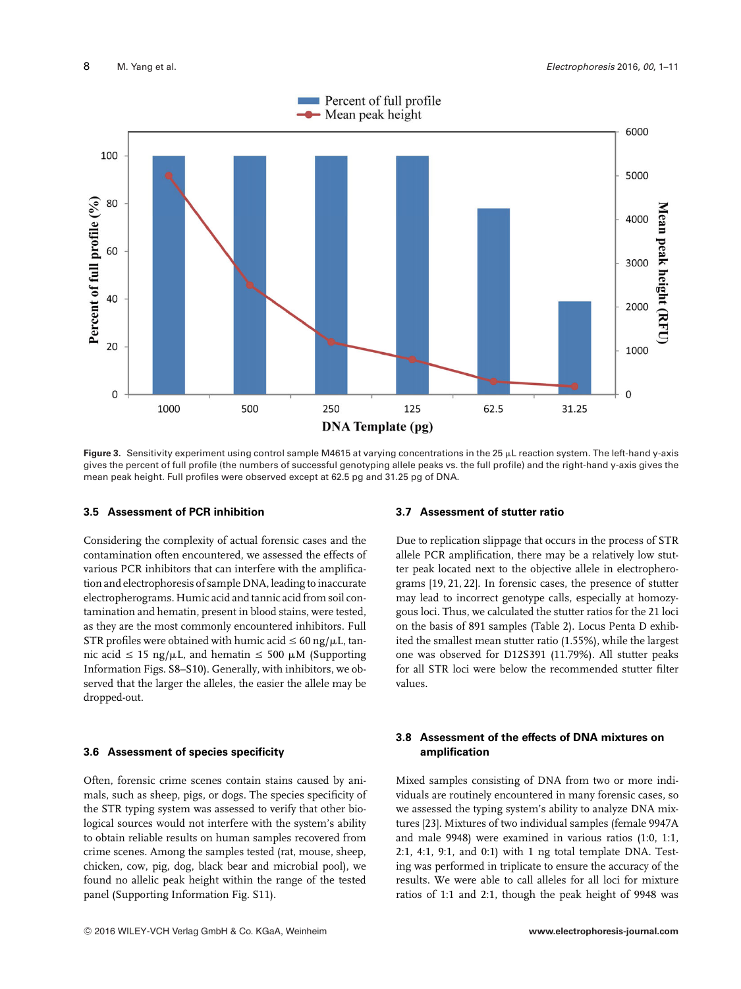

Figure 3. Sensitivity experiment using control sample M4615 at varying concentrations in the 25 µL reaction system. The left-hand y-axis gives the percent of full profile (the numbers of successful genotyping allele peaks vs. the full profile) and the right-hand y-axis gives the mean peak height. Full profiles were observed except at 62.5 pg and 31.25 pg of DNA.

#### **3.5 Assessment of PCR inhibition**

Considering the complexity of actual forensic cases and the contamination often encountered, we assessed the effects of various PCR inhibitors that can interfere with the amplification and electrophoresis of sample DNA, leading to inaccurate electropherograms. Humic acid and tannic acid from soil contamination and hematin, present in blood stains, were tested, as they are the most commonly encountered inhibitors. Full STR profiles were obtained with humic acid  $\leq 60$  ng/ $\mu$ L, tannic acid  $\leq 15$  ng/ $\mu$ L, and hematin  $\leq 500 \mu$ M (Supporting Information Figs. S8–S10). Generally, with inhibitors, we observed that the larger the alleles, the easier the allele may be dropped-out.

#### **3.6 Assessment of species specificity**

Often, forensic crime scenes contain stains caused by animals, such as sheep, pigs, or dogs. The species specificity of the STR typing system was assessed to verify that other biological sources would not interfere with the system's ability to obtain reliable results on human samples recovered from crime scenes. Among the samples tested (rat, mouse, sheep, chicken, cow, pig, dog, black bear and microbial pool), we found no allelic peak height within the range of the tested panel (Supporting Information Fig. S11).

#### **3.7 Assessment of stutter ratio**

Due to replication slippage that occurs in the process of STR allele PCR amplification, there may be a relatively low stutter peak located next to the objective allele in electropherograms [19, 21, 22]. In forensic cases, the presence of stutter may lead to incorrect genotype calls, especially at homozygous loci. Thus, we calculated the stutter ratios for the 21 loci on the basis of 891 samples (Table 2). Locus Penta D exhibited the smallest mean stutter ratio (1.55%), while the largest one was observed for D12S391 (11.79%). All stutter peaks for all STR loci were below the recommended stutter filter values.

#### **3.8 Assessment of the effects of DNA mixtures on amplification**

Mixed samples consisting of DNA from two or more individuals are routinely encountered in many forensic cases, so we assessed the typing system's ability to analyze DNA mixtures [23]. Mixtures of two individual samples (female 9947A and male 9948) were examined in various ratios (1:0, 1:1, 2:1, 4:1, 9:1, and 0:1) with 1 ng total template DNA. Testing was performed in triplicate to ensure the accuracy of the results. We were able to call alleles for all loci for mixture ratios of 1:1 and 2:1, though the peak height of 9948 was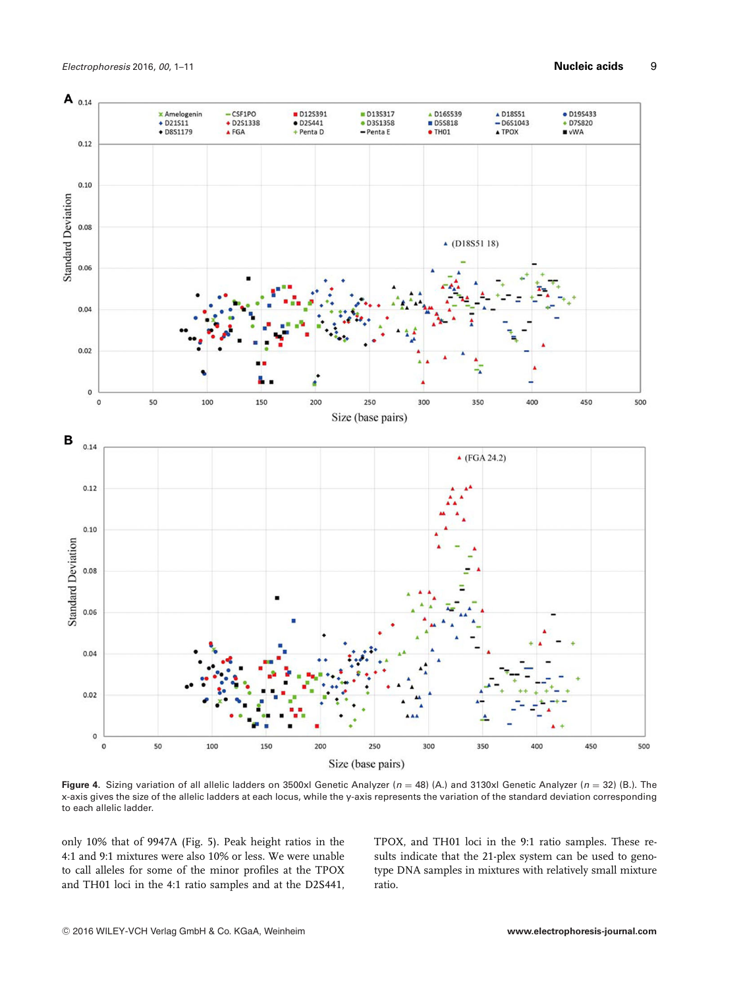

**Figure 4.** Sizing variation of all allelic ladders on 3500xl Genetic Analyzer (*n* = 48) (A.) and 3130xl Genetic Analyzer (*n* = 32) (B.). The x-axis gives the size of the allelic ladders at each locus, while the y-axis represents the variation of the standard deviation corresponding to each allelic ladder.

only 10% that of 9947A (Fig. 5). Peak height ratios in the 4:1 and 9:1 mixtures were also 10% or less. We were unable to call alleles for some of the minor profiles at the TPOX and TH01 loci in the 4:1 ratio samples and at the D2S441, TPOX, and TH01 loci in the 9:1 ratio samples. These results indicate that the 21-plex system can be used to genotype DNA samples in mixtures with relatively small mixture ratio.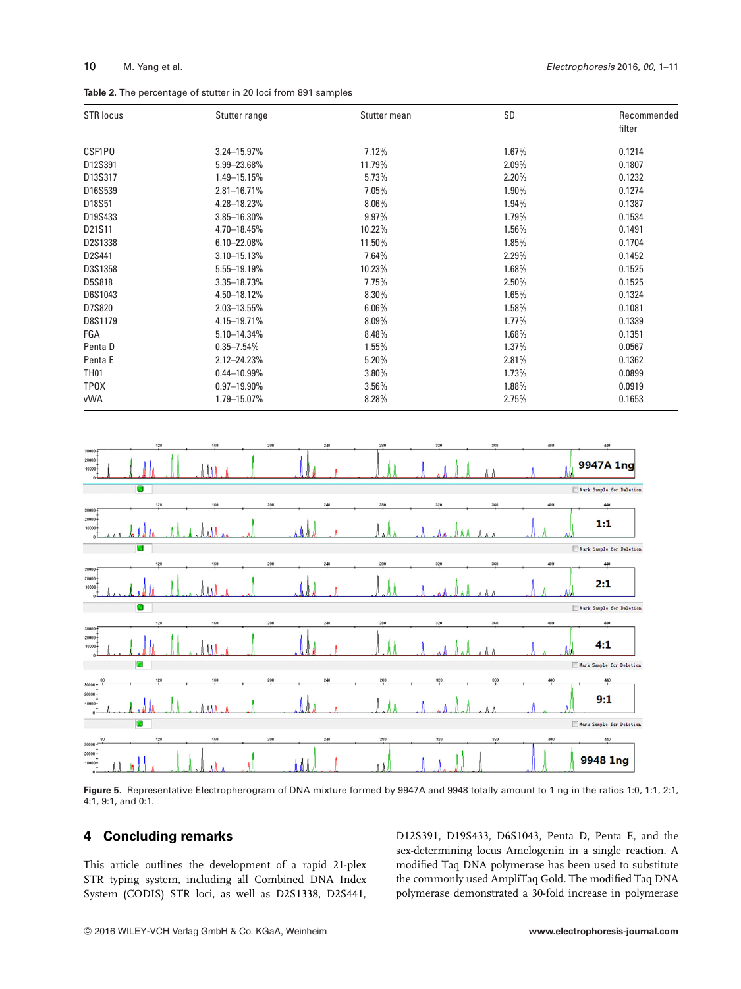|  |  | Table 2. The percentage of stutter in 20 loci from 891 samples |  |  |  |  |  |  |  |  |
|--|--|----------------------------------------------------------------|--|--|--|--|--|--|--|--|
|--|--|----------------------------------------------------------------|--|--|--|--|--|--|--|--|

| <b>STR locus</b> | Stutter range    | Stutter mean | SD       | Recommended<br>filter |
|------------------|------------------|--------------|----------|-----------------------|
| CSF1P0           | $3.24 - 15.97\%$ | 7.12%        | 1.67%    | 0.1214                |
| D12S391          | 5.99 - 23.68%    | 11.79%       | 2.09%    | 0.1807                |
| D13S317          | 1.49-15.15%      | 5.73%        | 2.20%    | 0.1232                |
| D16S539          | $2.81 - 16.71%$  | 7.05%        | 1.90%    | 0.1274                |
| D18S51           | 4.28-18.23%      | $8.06\%$     | 1.94%    | 0.1387                |
| D19S433          | 3.85-16.30%      | 9.97%        | 1.79%    | 0.1534                |
| D21S11           | 4.70-18.45%      | 10.22%       | 1.56%    | 0.1491                |
| D2S1338          | $6.10 - 22.08\%$ | 11.50%       | 1.85%    | 0.1704                |
| D2S441           | $3.10 - 15.13%$  | 7.64%        | 2.29%    | 0.1452                |
| D3S1358          | 5.55-19.19%      | 10.23%       | 1.68%    | 0.1525                |
| D5S818           | 3.35-18.73%      | 7.75%        | $2.50\%$ | 0.1525                |
| D6S1043          | 4.50-18.12%      | 8.30%        | 1.65%    | 0.1324                |
| D7S820           | 2.03-13.55%      | 6.06%        | 1.58%    | 0.1081                |
| D8S1179          | 4.15-19.71%      | $8.09\%$     | $1.77\%$ | 0.1339                |
| FGA              | 5.10-14.34%      | 8.48%        | 1.68%    | 0.1351                |
| Penta D          | $0.35 - 7.54\%$  | 1.55%        | 1.37%    | 0.0567                |
| Penta E          | $2.12 - 24.23%$  | 5.20%        | 2.81%    | 0.1362                |
| <b>TH01</b>      | $0.44 - 10.99\%$ | 3.80%        | 1.73%    | 0.0899                |
| <b>TPOX</b>      | $0.97 - 19.90\%$ | 3.56%        | 1.88%    | 0.0919                |
| vWA              | 1.79-15.07%      | 8.28%        | 2.75%    | 0.1653                |



Figure 5. Representative Electropherogram of DNA mixture formed by 9947A and 9948 totally amount to 1 ng in the ratios 1:0, 1:1, 2:1, 4:1, 9:1, and 0:1.

# **4 Concluding remarks**

This article outlines the development of a rapid 21-plex STR typing system, including all Combined DNA Index System (CODIS) STR loci, as well as D2S1338, D2S441, D12S391, D19S433, D6S1043, Penta D, Penta E, and the sex-determining locus Amelogenin in a single reaction. A modified Taq DNA polymerase has been used to substitute the commonly used AmpliTaq Gold. The modified Taq DNA polymerase demonstrated a 30-fold increase in polymerase